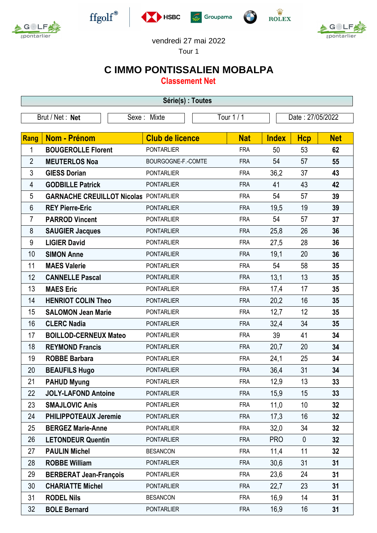



 $\operatorname{ffgolf}^{\circledast}$ 







## vendredi 27 mai 2022

Tour 1

## **C IMMO PONTISSALIEN MOBALPA**

**Classement Net**

| Série(s) : Toutes |                                              |                           |                        |                  |            |              |             |            |  |  |
|-------------------|----------------------------------------------|---------------------------|------------------------|------------------|------------|--------------|-------------|------------|--|--|
| Brut / Net: Net   |                                              | Tour 1 / 1<br>Sexe: Mixte |                        | Date: 27/05/2022 |            |              |             |            |  |  |
|                   |                                              |                           |                        |                  |            |              |             |            |  |  |
| Rang              | Nom - Prénom                                 |                           | <b>Club de licence</b> |                  | <b>Nat</b> | <b>Index</b> | <b>Hcp</b>  | <b>Net</b> |  |  |
| 1                 | <b>BOUGEROLLE Florent</b>                    |                           | <b>PONTARLIER</b>      |                  | <b>FRA</b> | 50           | 53          | 62         |  |  |
| $\overline{2}$    | <b>MEUTERLOS Noa</b>                         |                           | BOURGOGNE-F.-COMTE     |                  | <b>FRA</b> | 54           | 57          | 55         |  |  |
| 3                 | <b>GIESS Dorian</b>                          |                           | <b>PONTARLIER</b>      |                  | <b>FRA</b> | 36,2         | 37          | 43         |  |  |
| 4                 | <b>GODBILLE Patrick</b>                      |                           | <b>PONTARLIER</b>      |                  | <b>FRA</b> | 41           | 43          | 42         |  |  |
| 5                 | <b>GARNACHE CREUILLOT Nicolas PONTARLIER</b> |                           |                        |                  | <b>FRA</b> | 54           | 57          | 39         |  |  |
| 6                 | <b>REY Pierre-Eric</b>                       |                           | <b>PONTARLIER</b>      |                  | <b>FRA</b> | 19,5         | 19          | 39         |  |  |
| 7                 | <b>PARROD Vincent</b>                        |                           | <b>PONTARLIER</b>      |                  | <b>FRA</b> | 54           | 57          | 37         |  |  |
| 8                 | <b>SAUGIER Jacques</b>                       |                           | <b>PONTARLIER</b>      |                  | <b>FRA</b> | 25,8         | 26          | 36         |  |  |
| $9\,$             | <b>LIGIER David</b>                          |                           | <b>PONTARLIER</b>      |                  | <b>FRA</b> | 27,5         | 28          | 36         |  |  |
| 10                | <b>SIMON Anne</b>                            |                           | <b>PONTARLIER</b>      |                  | <b>FRA</b> | 19,1         | 20          | 36         |  |  |
| 11                | <b>MAES Valerie</b>                          |                           | <b>PONTARLIER</b>      |                  | <b>FRA</b> | 54           | 58          | 35         |  |  |
| 12                | <b>CANNELLE Pascal</b>                       |                           | <b>PONTARLIER</b>      |                  | <b>FRA</b> | 13,1         | 13          | 35         |  |  |
| 13                | <b>MAES Eric</b>                             |                           | <b>PONTARLIER</b>      |                  | <b>FRA</b> | 17,4         | 17          | 35         |  |  |
| 14                | <b>HENRIOT COLIN Theo</b>                    |                           | <b>PONTARLIER</b>      |                  | <b>FRA</b> | 20,2         | 16          | 35         |  |  |
| 15                | <b>SALOMON Jean Marie</b>                    |                           | <b>PONTARLIER</b>      |                  | <b>FRA</b> | 12,7         | 12          | 35         |  |  |
| 16                | <b>CLERC Nadia</b>                           |                           | <b>PONTARLIER</b>      |                  | <b>FRA</b> | 32,4         | 34          | 35         |  |  |
| 17                | <b>BOILLOD-CERNEUX Mateo</b>                 |                           | <b>PONTARLIER</b>      |                  | <b>FRA</b> | 39           | 41          | 34         |  |  |
| 18                | <b>REYMOND Francis</b>                       |                           | <b>PONTARLIER</b>      |                  | <b>FRA</b> | 20,7         | 20          | 34         |  |  |
| 19                | <b>ROBBE Barbara</b>                         |                           | <b>PONTARLIER</b>      |                  | <b>FRA</b> | 24,1         | 25          | 34         |  |  |
| 20                | <b>BEAUFILS Hugo</b>                         |                           | <b>PONTARLIER</b>      |                  | <b>FRA</b> | 36,4         | 31          | 34         |  |  |
| 21                | <b>PAHUD Myung</b>                           |                           | PONTARLIER             |                  | <b>FRA</b> | 12,9         | 13          | 33         |  |  |
| 22                | <b>JOLY-LAFOND Antoine</b>                   |                           | <b>PONTARLIER</b>      |                  | <b>FRA</b> | 15,9         | 15          | 33         |  |  |
| 23                | <b>SMAJLOVIC Anis</b>                        |                           | <b>PONTARLIER</b>      |                  | <b>FRA</b> | 11,0         | 10          | 32         |  |  |
| 24                | <b>PHILIPPOTEAUX Jeremie</b>                 |                           | <b>PONTARLIER</b>      |                  | <b>FRA</b> | 17,3         | 16          | 32         |  |  |
| 25                | <b>BERGEZ Marie-Anne</b>                     |                           | <b>PONTARLIER</b>      |                  | <b>FRA</b> | 32,0         | 34          | 32         |  |  |
| 26                | <b>LETONDEUR Quentin</b>                     |                           | <b>PONTARLIER</b>      |                  | <b>FRA</b> | <b>PRO</b>   | $\mathbf 0$ | 32         |  |  |
| 27                | <b>PAULIN Michel</b>                         |                           | <b>BESANCON</b>        |                  | <b>FRA</b> | 11,4         | 11          | 32         |  |  |
| 28                | <b>ROBBE William</b>                         |                           | <b>PONTARLIER</b>      |                  | <b>FRA</b> | 30,6         | 31          | 31         |  |  |
| 29                | <b>BERBERAT Jean-François</b>                |                           | <b>PONTARLIER</b>      |                  | <b>FRA</b> | 23,6         | 24          | 31         |  |  |
| 30                | <b>CHARIATTE Michel</b>                      |                           | <b>PONTARLIER</b>      |                  | <b>FRA</b> | 22,7         | 23          | 31         |  |  |
| 31                | <b>RODEL Nils</b>                            |                           | <b>BESANCON</b>        |                  | <b>FRA</b> | 16,9         | 14          | 31         |  |  |
| 32                | <b>BOLE Bernard</b>                          |                           | <b>PONTARLIER</b>      |                  | <b>FRA</b> | 16,9         | 16          | 31         |  |  |